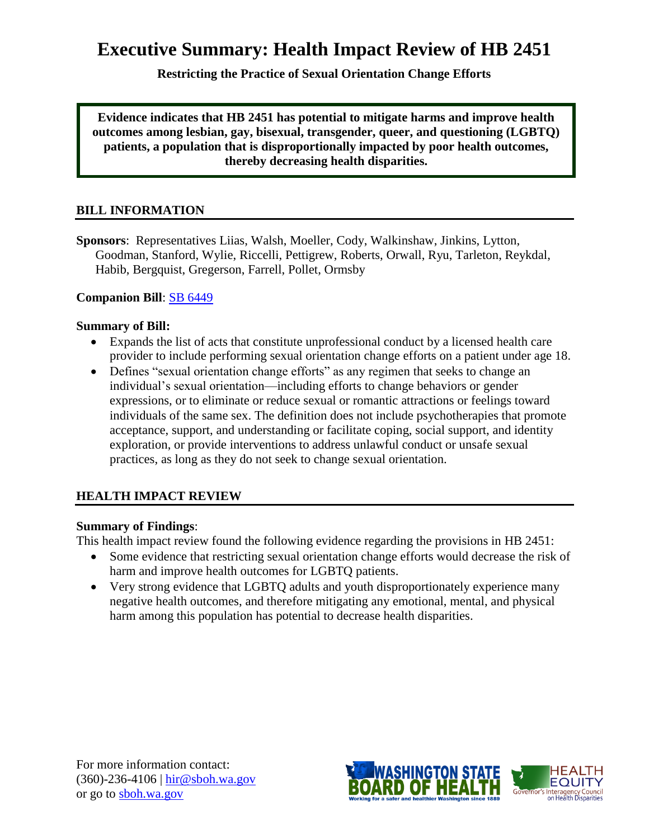# **Executive Summary: Health Impact Review of HB 2451**

**Restricting the Practice of Sexual Orientation Change Efforts**

**Evidence indicates that HB 2451 has potential to mitigate harms and improve health outcomes among lesbian, gay, bisexual, transgender, queer, and questioning (LGBTQ) patients, a population that is disproportionally impacted by poor health outcomes, thereby decreasing health disparities.**

### **BILL INFORMATION**

**Sponsors**: Representatives [Liias,](http://www.leg.wa.gov/house/representatives/pages/Liias.aspx) [Walsh,](http://www.leg.wa.gov/house/representatives/pages/Walsh.aspx) [Moeller,](http://www.leg.wa.gov/house/representatives/pages/Moeller.aspx) [Cody,](http://www.leg.wa.gov/house/representatives/pages/Cody.aspx) [Walkinshaw,](http://www.leg.wa.gov/house/representatives/pages/Walkinshaw.aspx) [Jinkins,](http://www.leg.wa.gov/house/representatives/pages/Jinkins.aspx) [Lytton,](http://www.leg.wa.gov/house/representatives/pages/Lytton.aspx) [Goodman,](http://www.leg.wa.gov/house/representatives/pages/Goodman.aspx) [Stanford,](http://www.leg.wa.gov/house/representatives/pages/Stanford.aspx) [Wylie,](http://www.leg.wa.gov/house/representatives/pages/Wylie.aspx) [Riccelli,](http://www.leg.wa.gov/house/representatives/pages/Riccelli.aspx) [Pettigrew,](http://www.leg.wa.gov/house/representatives/pages/Pettigrew.aspx) [Roberts,](http://www.leg.wa.gov/house/representatives/pages/Roberts.aspx) [Orwall,](http://www.leg.wa.gov/house/representatives/pages/Orwall.aspx) [Ryu,](http://www.leg.wa.gov/house/representatives/pages/Ryu.aspx) [Tarleton,](http://www.leg.wa.gov/house/representatives/pages/Tarleton.aspx) [Reykdal,](http://www.leg.wa.gov/house/representatives/pages/Reykdal.aspx) [Habib,](http://www.leg.wa.gov/house/representatives/pages/Habib.aspx) [Bergquist,](http://www.leg.wa.gov/house/representatives/pages/Bergquist.aspx) [Gregerson,](http://www.leg.wa.gov/house/representatives/pages/Gregerson.aspx) [Farrell,](http://www.leg.wa.gov/house/representatives/pages/Farrell.aspx) [Pollet,](http://www.leg.wa.gov/house/representatives/pages/Pollet.aspx) [Ormsby](http://www.leg.wa.gov/house/representatives/pages/Ormsby.aspx)

#### **Companion Bill**: [SB 6449](http://apps.leg.wa.gov/billinfo/summary.aspx?bill=6449&year=2013)

#### **Summary of Bill:**

- Expands the list of acts that constitute unprofessional conduct by a licensed health care provider to include performing sexual orientation change efforts on a patient under age 18.
- Defines "sexual orientation change efforts" as any regimen that seeks to change an individual's sexual orientation—including efforts to change behaviors or gender expressions, or to eliminate or reduce sexual or romantic attractions or feelings toward individuals of the same sex. The definition does not include psychotherapies that promote acceptance, support, and understanding or facilitate coping, social support, and identity exploration, or provide interventions to address unlawful conduct or unsafe sexual practices, as long as they do not seek to change sexual orientation.

### **HEALTH IMPACT REVIEW**

#### **Summary of Findings**:

This health impact review found the following evidence regarding the provisions in HB 2451:

- Some evidence that restricting sexual orientation change efforts would decrease the risk of harm and improve health outcomes for LGBTQ patients.
- Very strong evidence that LGBTQ adults and youth disproportionately experience many negative health outcomes, and therefore mitigating any emotional, mental, and physical harm among this population has potential to decrease health disparities.

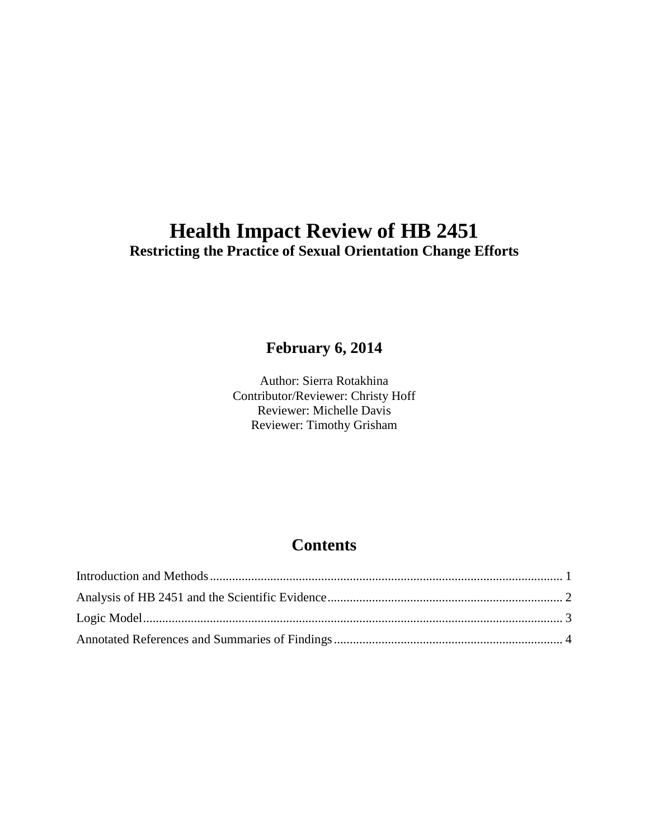## **Health Impact Review of HB 2451 Restricting the Practice of Sexual Orientation Change Efforts**

## **February 6, 2014**

Author: Sierra Rotakhina Contributor/Reviewer: Christy Hoff Reviewer: Michelle Davis Reviewer: Timothy Grisham

## **Contents**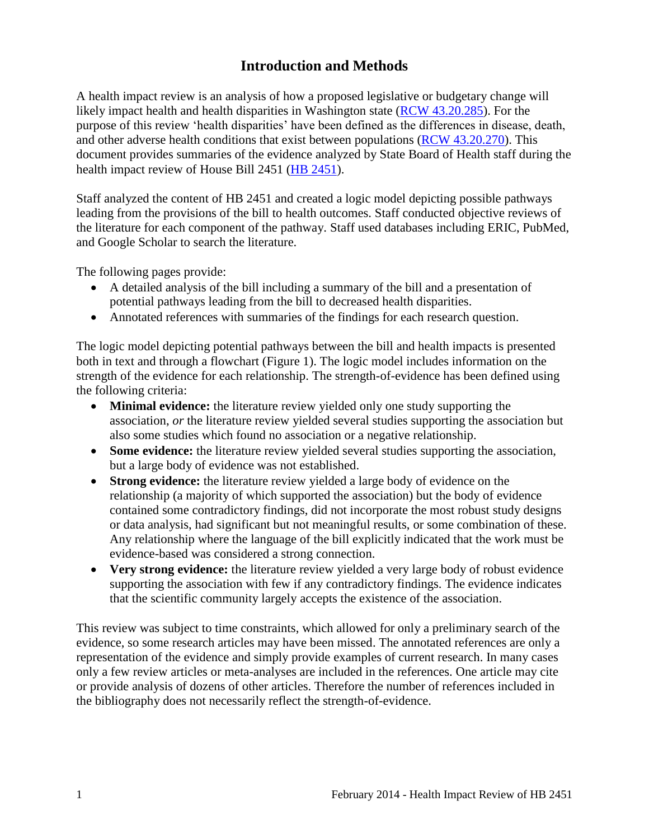## **Introduction and Methods**

<span id="page-2-0"></span>A health impact review is an analysis of how a proposed legislative or budgetary change will likely impact health and health disparities in Washington state [\(RCW 43.20.285\)](http://apps.leg.wa.gov/rcw/default.aspx?cite=43.20.285). For the purpose of this review 'health disparities' have been defined as the differences in disease, death, and other adverse health conditions that exist between populations [\(RCW 43.20.270\)](http://apps.leg.wa.gov/rcw/default.aspx?cite=43.20.270). This document provides summaries of the evidence analyzed by State Board of Health staff during the health impact review of House Bill 2451 [\(HB 2451\)](http://apps.leg.wa.gov/billinfo/summary.aspx?bill=2451).

Staff analyzed the content of HB 2451 and created a logic model depicting possible pathways leading from the provisions of the bill to health outcomes. Staff conducted objective reviews of the literature for each component of the pathway. Staff used databases including ERIC, PubMed, and Google Scholar to search the literature.

The following pages provide:

- A detailed analysis of the bill including a summary of the bill and a presentation of potential pathways leading from the bill to decreased health disparities.
- Annotated references with summaries of the findings for each research question.

The logic model depicting potential pathways between the bill and health impacts is presented both in text and through a flowchart (Figure 1). The logic model includes information on the strength of the evidence for each relationship. The strength-of-evidence has been defined using the following criteria:

- **Minimal evidence:** the literature review yielded only one study supporting the association, *or* the literature review yielded several studies supporting the association but also some studies which found no association or a negative relationship.
- **Some evidence:** the literature review yielded several studies supporting the association, but a large body of evidence was not established.
- **Strong evidence:** the literature review yielded a large body of evidence on the relationship (a majority of which supported the association) but the body of evidence contained some contradictory findings, did not incorporate the most robust study designs or data analysis, had significant but not meaningful results, or some combination of these. Any relationship where the language of the bill explicitly indicated that the work must be evidence-based was considered a strong connection.
- **Very strong evidence:** the literature review yielded a very large body of robust evidence supporting the association with few if any contradictory findings. The evidence indicates that the scientific community largely accepts the existence of the association.

This review was subject to time constraints, which allowed for only a preliminary search of the evidence, so some research articles may have been missed. The annotated references are only a representation of the evidence and simply provide examples of current research. In many cases only a few review articles or meta-analyses are included in the references. One article may cite or provide analysis of dozens of other articles. Therefore the number of references included in the bibliography does not necessarily reflect the strength-of-evidence.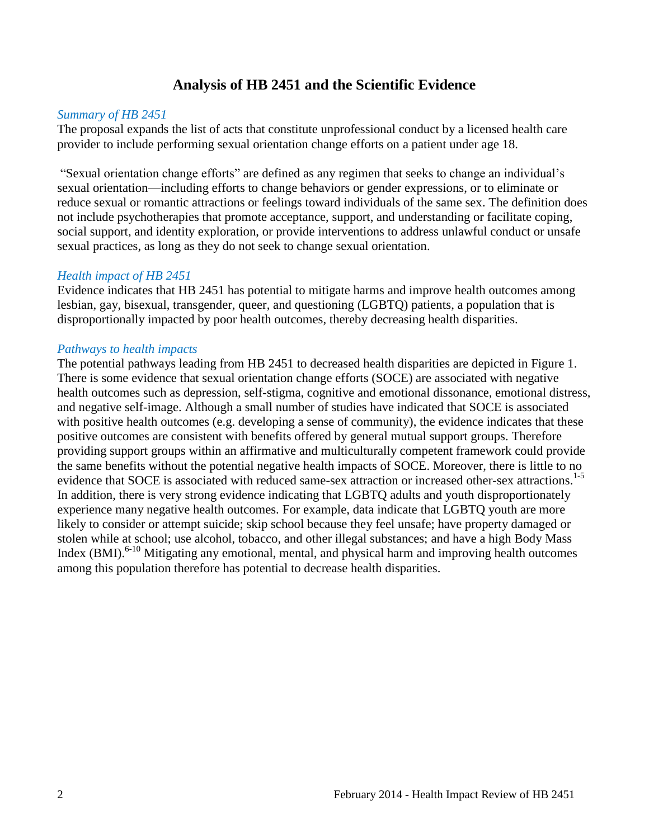### **Analysis of HB 2451 and the Scientific Evidence**

#### <span id="page-3-0"></span>*Summary of HB 2451*

The proposal expands the list of acts that constitute unprofessional conduct by a licensed health care provider to include performing sexual orientation change efforts on a patient under age 18.

"Sexual orientation change efforts" are defined as any regimen that seeks to change an individual's sexual orientation—including efforts to change behaviors or gender expressions, or to eliminate or reduce sexual or romantic attractions or feelings toward individuals of the same sex. The definition does not include psychotherapies that promote acceptance, support, and understanding or facilitate coping, social support, and identity exploration, or provide interventions to address unlawful conduct or unsafe sexual practices, as long as they do not seek to change sexual orientation.

#### *Health impact of HB 2451*

Evidence indicates that HB 2451 has potential to mitigate harms and improve health outcomes among lesbian, gay, bisexual, transgender, queer, and questioning (LGBTQ) patients, a population that is disproportionally impacted by poor health outcomes, thereby decreasing health disparities.

#### *Pathways to health impacts*

The potential pathways leading from HB 2451 to decreased health disparities are depicted in Figure 1. There is some evidence that sexual orientation change efforts (SOCE) are associated with negative health outcomes such as depression, self-stigma, cognitive and emotional dissonance, emotional distress, and negative self-image. Although a small number of studies have indicated that SOCE is associated with positive health outcomes (e.g. developing a sense of community), the evidence indicates that these positive outcomes are consistent with benefits offered by general mutual support groups. Therefore providing support groups within an affirmative and multiculturally competent framework could provide the same benefits without the potential negative health impacts of SOCE. Moreover, there is little to no evidence that SOCE is associated with reduced same-sex attraction or increased other-sex attractions.<sup>1-5</sup> In addition, there is very strong evidence indicating that LGBTQ adults and youth disproportionately experience many negative health outcomes. For example, data indicate that LGBTQ youth are more likely to consider or attempt suicide; skip school because they feel unsafe; have property damaged or stolen while at school; use alcohol, tobacco, and other illegal substances; and have a high Body Mass Index  $(BMI)$ <sup>6-10</sup> Mitigating any emotional, mental, and physical harm and improving health outcomes among this population therefore has potential to decrease health disparities.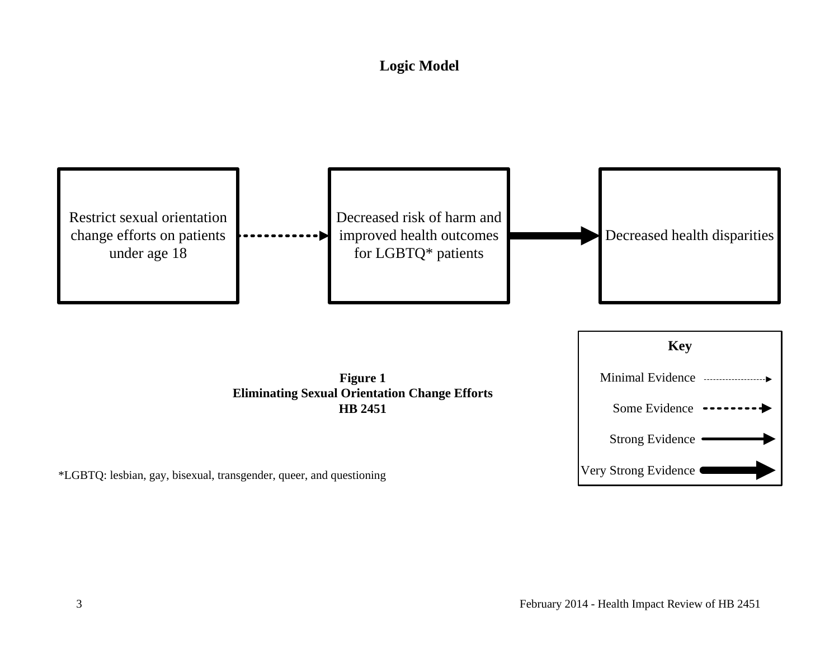## **Logic Model**

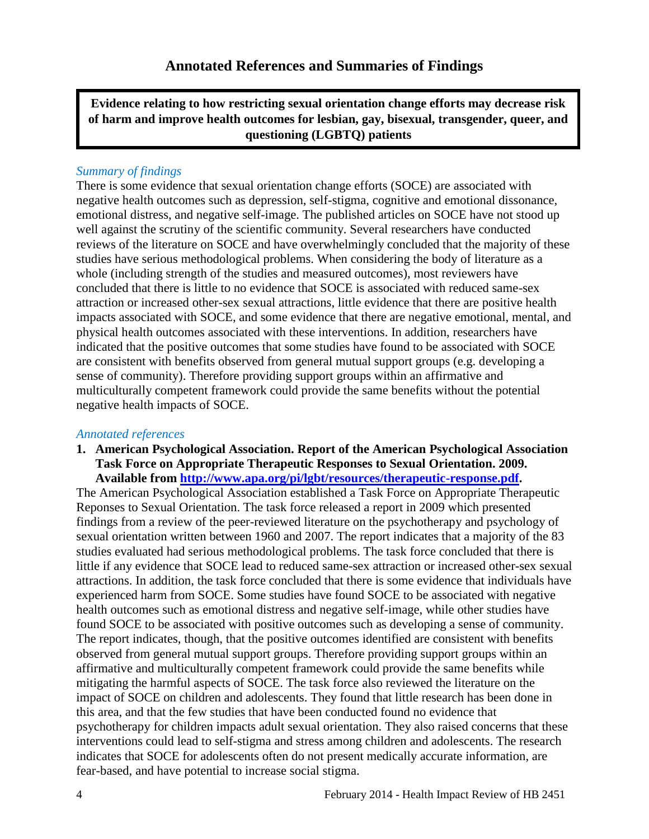<span id="page-5-0"></span>**Evidence relating to how restricting sexual orientation change efforts may decrease risk of harm and improve health outcomes for lesbian, gay, bisexual, transgender, queer, and questioning (LGBTQ) patients**

#### *Summary of findings*

There is some evidence that sexual orientation change efforts (SOCE) are associated with negative health outcomes such as depression, self-stigma, cognitive and emotional dissonance, emotional distress, and negative self-image. The published articles on SOCE have not stood up well against the scrutiny of the scientific community. Several researchers have conducted reviews of the literature on SOCE and have overwhelmingly concluded that the majority of these studies have serious methodological problems. When considering the body of literature as a whole (including strength of the studies and measured outcomes), most reviewers have concluded that there is little to no evidence that SOCE is associated with reduced same-sex attraction or increased other-sex sexual attractions, little evidence that there are positive health impacts associated with SOCE, and some evidence that there are negative emotional, mental, and physical health outcomes associated with these interventions. In addition, researchers have indicated that the positive outcomes that some studies have found to be associated with SOCE are consistent with benefits observed from general mutual support groups (e.g. developing a sense of community). Therefore providing support groups within an affirmative and multiculturally competent framework could provide the same benefits without the potential negative health impacts of SOCE.

#### *Annotated references*

**1. American Psychological Association. Report of the American Psychological Association Task Force on Appropriate Therapeutic Responses to Sexual Orientation. 2009. Available from [http://www.apa.org/pi/lgbt/resources/therapeutic-response.pdf.](http://www.apa.org/pi/lgbt/resources/therapeutic-response.pdf)** 

The American Psychological Association established a Task Force on Appropriate Therapeutic Reponses to Sexual Orientation. The task force released a report in 2009 which presented findings from a review of the peer-reviewed literature on the psychotherapy and psychology of sexual orientation written between 1960 and 2007. The report indicates that a majority of the 83 studies evaluated had serious methodological problems. The task force concluded that there is little if any evidence that SOCE lead to reduced same-sex attraction or increased other-sex sexual attractions. In addition, the task force concluded that there is some evidence that individuals have experienced harm from SOCE. Some studies have found SOCE to be associated with negative health outcomes such as emotional distress and negative self-image, while other studies have found SOCE to be associated with positive outcomes such as developing a sense of community. The report indicates, though, that the positive outcomes identified are consistent with benefits observed from general mutual support groups. Therefore providing support groups within an affirmative and multiculturally competent framework could provide the same benefits while mitigating the harmful aspects of SOCE. The task force also reviewed the literature on the impact of SOCE on children and adolescents. They found that little research has been done in this area, and that the few studies that have been conducted found no evidence that psychotherapy for children impacts adult sexual orientation. They also raised concerns that these interventions could lead to self-stigma and stress among children and adolescents. The research indicates that SOCE for adolescents often do not present medically accurate information, are fear-based, and have potential to increase social stigma.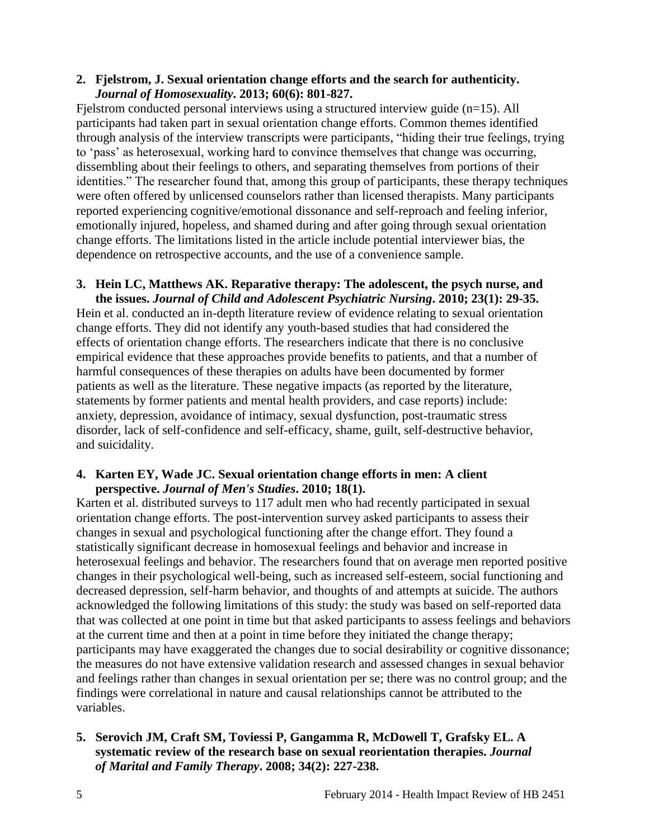#### **2. Fjelstrom, J. Sexual orientation change efforts and the search for authenticity.**  *Journal of Homosexuality***. 2013; 60(6): 801-827.**

Fjelstrom conducted personal interviews using a structured interview guide (n=15). All participants had taken part in sexual orientation change efforts. Common themes identified through analysis of the interview transcripts were participants, "hiding their true feelings, trying to 'pass' as heterosexual, working hard to convince themselves that change was occurring, dissembling about their feelings to others, and separating themselves from portions of their identities." The researcher found that, among this group of participants, these therapy techniques were often offered by unlicensed counselors rather than licensed therapists. Many participants reported experiencing cognitive/emotional dissonance and self-reproach and feeling inferior, emotionally injured, hopeless, and shamed during and after going through sexual orientation change efforts. The limitations listed in the article include potential interviewer bias, the dependence on retrospective accounts, and the use of a convenience sample.

#### **3. Hein LC, Matthews AK. Reparative therapy: The adolescent, the psych nurse, and the issues.** *Journal of Child and Adolescent Psychiatric Nursing***. 2010; 23(1): 29-35.**

Hein et al. conducted an in-depth literature review of evidence relating to sexual orientation change efforts. They did not identify any youth-based studies that had considered the effects of orientation change efforts. The researchers indicate that there is no conclusive empirical evidence that these approaches provide benefits to patients, and that a number of harmful consequences of these therapies on adults have been documented by former patients as well as the literature. These negative impacts (as reported by the literature, statements by former patients and mental health providers, and case reports) include: anxiety, depression, avoidance of intimacy, sexual dysfunction, post-traumatic stress disorder, lack of self-confidence and self-efficacy, shame, guilt, self-destructive behavior, and suicidality.

#### **4. Karten EY, Wade JC. Sexual orientation change efforts in men: A client perspective.** *Journal of Men's Studies***. 2010; 18(1).**

Karten et al. distributed surveys to 117 adult men who had recently participated in sexual orientation change efforts. The post-intervention survey asked participants to assess their changes in sexual and psychological functioning after the change effort. They found a statistically significant decrease in homosexual feelings and behavior and increase in heterosexual feelings and behavior. The researchers found that on average men reported positive changes in their psychological well-being, such as increased self-esteem, social functioning and decreased depression, self-harm behavior, and thoughts of and attempts at suicide. The authors acknowledged the following limitations of this study: the study was based on self-reported data that was collected at one point in time but that asked participants to assess feelings and behaviors at the current time and then at a point in time before they initiated the change therapy; participants may have exaggerated the changes due to social desirability or cognitive dissonance; the measures do not have extensive validation research and assessed changes in sexual behavior and feelings rather than changes in sexual orientation per se; there was no control group; and the findings were correlational in nature and causal relationships cannot be attributed to the variables.

### **5. Serovich JM, Craft SM, Toviessi P, Gangamma R, McDowell T, Grafsky EL. A systematic review of the research base on sexual reorientation therapies.** *Journal of Marital and Family Therapy***. 2008; 34(2): 227-238.**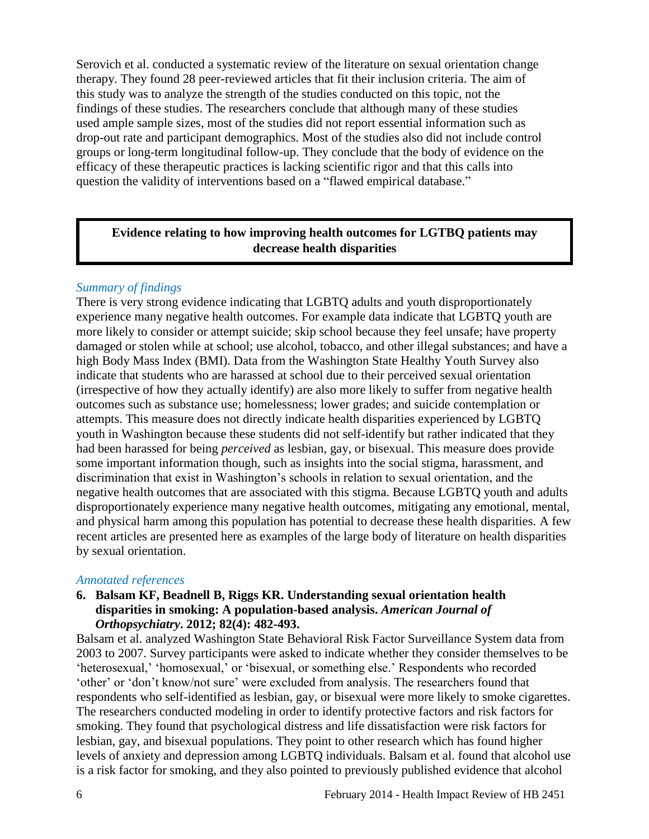Serovich et al. conducted a systematic review of the literature on sexual orientation change therapy. They found 28 peer-reviewed articles that fit their inclusion criteria. The aim of this study was to analyze the strength of the studies conducted on this topic, not the findings of these studies. The researchers conclude that although many of these studies used ample sample sizes, most of the studies did not report essential information such as drop-out rate and participant demographics. Most of the studies also did not include control groups or long-term longitudinal follow-up. They conclude that the body of evidence on the efficacy of these therapeutic practices is lacking scientific rigor and that this calls into question the validity of interventions based on a "flawed empirical database."

### **Evidence relating to how improving health outcomes for LGTBQ patients may decrease health disparities**

#### *Summary of findings*

There is very strong evidence indicating that LGBTQ adults and youth disproportionately experience many negative health outcomes. For example data indicate that LGBTQ youth are more likely to consider or attempt suicide; skip school because they feel unsafe; have property damaged or stolen while at school; use alcohol, tobacco, and other illegal substances; and have a high Body Mass Index (BMI). Data from the Washington State Healthy Youth Survey also indicate that students who are harassed at school due to their perceived sexual orientation (irrespective of how they actually identify) are also more likely to suffer from negative health outcomes such as substance use; homelessness; lower grades; and suicide contemplation or attempts. This measure does not directly indicate health disparities experienced by LGBTQ youth in Washington because these students did not self-identify but rather indicated that they had been harassed for being *perceived* as lesbian, gay, or bisexual. This measure does provide some important information though, such as insights into the social stigma, harassment, and discrimination that exist in Washington's schools in relation to sexual orientation, and the negative health outcomes that are associated with this stigma. Because LGBTQ youth and adults disproportionately experience many negative health outcomes, mitigating any emotional, mental, and physical harm among this population has potential to decrease these health disparities. A few recent articles are presented here as examples of the large body of literature on health disparities by sexual orientation.

#### *Annotated references*

#### **6. Balsam KF, Beadnell B, Riggs KR. Understanding sexual orientation health disparities in smoking: A population-based analysis.** *American Journal of Orthopsychiatry***. 2012; 82(4): 482-493.**

Balsam et al. analyzed Washington State Behavioral Risk Factor Surveillance System data from 2003 to 2007. Survey participants were asked to indicate whether they consider themselves to be 'heterosexual,' 'homosexual,' or 'bisexual, or something else.' Respondents who recorded 'other' or 'don't know/not sure' were excluded from analysis. The researchers found that respondents who self-identified as lesbian, gay, or bisexual were more likely to smoke cigarettes. The researchers conducted modeling in order to identify protective factors and risk factors for smoking. They found that psychological distress and life dissatisfaction were risk factors for lesbian, gay, and bisexual populations. They point to other research which has found higher levels of anxiety and depression among LGBTQ individuals. Balsam et al. found that alcohol use is a risk factor for smoking, and they also pointed to previously published evidence that alcohol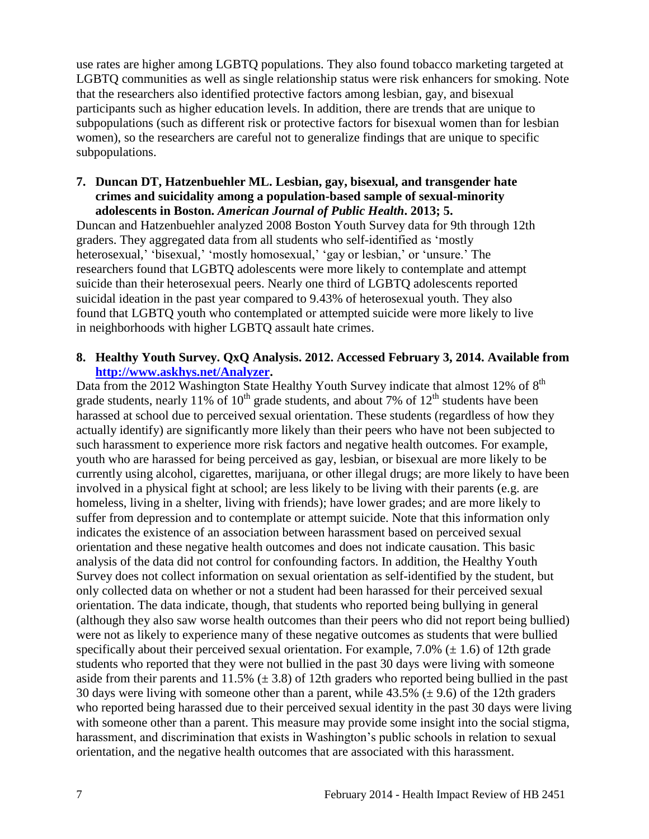use rates are higher among LGBTQ populations. They also found tobacco marketing targeted at LGBTQ communities as well as single relationship status were risk enhancers for smoking. Note that the researchers also identified protective factors among lesbian, gay, and bisexual participants such as higher education levels. In addition, there are trends that are unique to subpopulations (such as different risk or protective factors for bisexual women than for lesbian women), so the researchers are careful not to generalize findings that are unique to specific subpopulations.

#### **7. Duncan DT, Hatzenbuehler ML. Lesbian, gay, bisexual, and transgender hate crimes and suicidality among a population-based sample of sexual-minority adolescents in Boston.** *American Journal of Public Health***. 2013; 5.**

Duncan and Hatzenbuehler analyzed 2008 Boston Youth Survey data for 9th through 12th graders. They aggregated data from all students who self-identified as 'mostly heterosexual,' 'bisexual,' 'mostly homosexual,' 'gay or lesbian,' or 'unsure.' The researchers found that LGBTQ adolescents were more likely to contemplate and attempt suicide than their heterosexual peers. Nearly one third of LGBTQ adolescents reported suicidal ideation in the past year compared to 9.43% of heterosexual youth. They also found that LGBTQ youth who contemplated or attempted suicide were more likely to live in neighborhoods with higher LGBTQ assault hate crimes.

#### **8. Healthy Youth Survey. QxQ Analysis. 2012. Accessed February 3, 2014. Available from [http://www.askhys.net/Analyzer.](http://www.askhys.net/Analyzer)**

Data from the 2012 Washington State Healthy Youth Survey indicate that almost 12% of  $8<sup>th</sup>$ grade students, nearly 11% of  $10^{th}$  grade students, and about 7% of  $12^{th}$  students have been harassed at school due to perceived sexual orientation. These students (regardless of how they actually identify) are significantly more likely than their peers who have not been subjected to such harassment to experience more risk factors and negative health outcomes. For example, youth who are harassed for being perceived as gay, lesbian, or bisexual are more likely to be currently using alcohol, cigarettes, marijuana, or other illegal drugs; are more likely to have been involved in a physical fight at school; are less likely to be living with their parents (e.g. are homeless, living in a shelter, living with friends); have lower grades; and are more likely to suffer from depression and to contemplate or attempt suicide. Note that this information only indicates the existence of an association between harassment based on perceived sexual orientation and these negative health outcomes and does not indicate causation. This basic analysis of the data did not control for confounding factors. In addition, the Healthy Youth Survey does not collect information on sexual orientation as self-identified by the student, but only collected data on whether or not a student had been harassed for their perceived sexual orientation. The data indicate, though, that students who reported being bullying in general (although they also saw worse health outcomes than their peers who did not report being bullied) were not as likely to experience many of these negative outcomes as students that were bullied specifically about their perceived sexual orientation. For example, 7.0% ( $\pm$  1.6) of 12th grade students who reported that they were not bullied in the past 30 days were living with someone aside from their parents and  $11.5\%$  ( $\pm$  3.8) of 12th graders who reported being bullied in the past 30 days were living with someone other than a parent, while  $43.5\%$  ( $\pm$  9.6) of the 12th graders who reported being harassed due to their perceived sexual identity in the past 30 days were living with someone other than a parent. This measure may provide some insight into the social stigma, harassment, and discrimination that exists in Washington's public schools in relation to sexual orientation, and the negative health outcomes that are associated with this harassment.